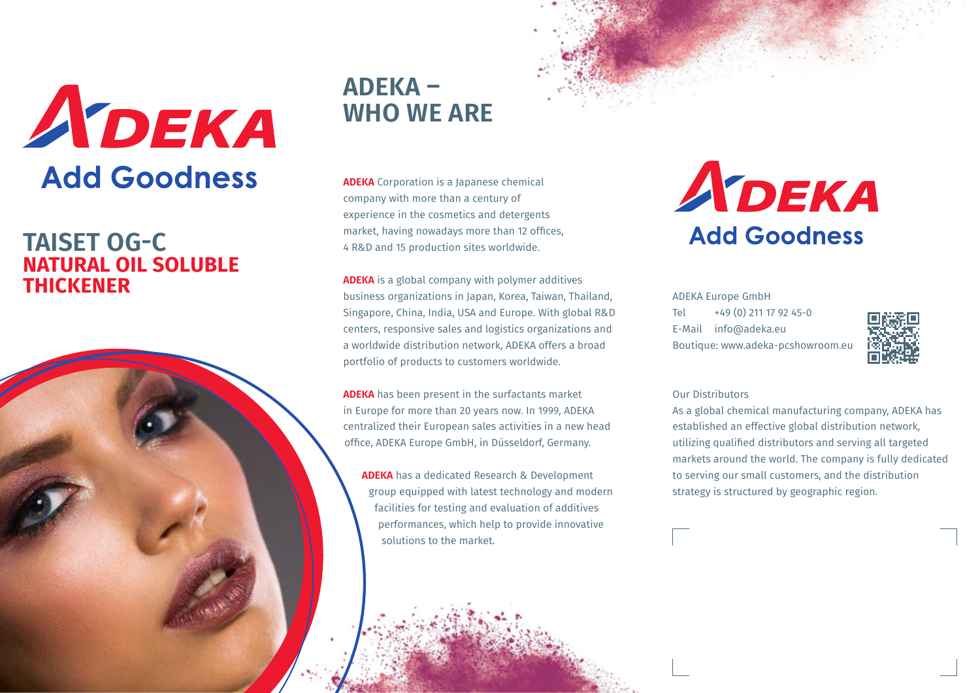

### **TAISET OG-C NATURAL OIL SOLUBLE THICKENER**

## **ADEKA – WHO WE ARE**

**ADEKA** Corporation is a Japanese chemical company with more than a century of experience in the cosmetics and detergents market, having nowadays more than 12 offices, 4 R&D and 15 production sites worldwide.

**ADEKA** is a global company with polymer additives business organizations in Japan, Korea, Taiwan, Thailand, Singapore, China, India, USA and Europe. With global R&D centers, responsive sales and logistics organizations and a worldwide distribution network, ADEKA offers a broad portfolio of products to customers worldwide.

**ADEKA** has been present in the surfactants market in Europe for more than 20 years now. In 1999, ADEKA centralized their European sales activities in a new head office, ADEKA Europe GmbH, in Düsseldorf, Germany.

**ADEKA** has a dedicated Research & Development group equipped with latest technology and modern facilities for testing and evaluation of additives performances, which help to provide innovative solutions to the market.

# ADEKA **Add Goodness**

ADEKA Europe GmbH Tel  $+49(0)$  211 17 92 45-0 E-Mail info@adeka.eu Boutique: www.adeka-pcshowroom.eu



#### Our Distributors

As a global chemical manufacturing company, ADEKA has established an effective global distribution network, utilizing qualified distributors and serving all targeted markets around the world. The company is fully dedicated to serving our small customers, and the distribution strategy is structured by geographic region.